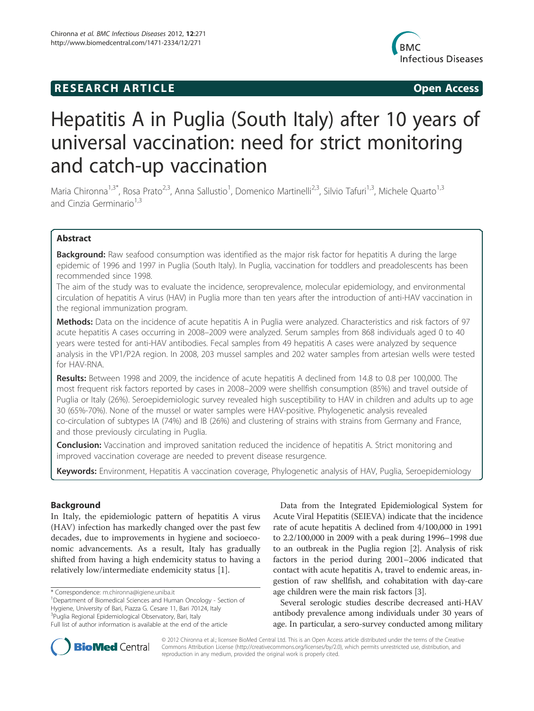## R E S EAR CH A R TIC L E Open Access



# Hepatitis A in Puglia (South Italy) after 10 years of universal vaccination: need for strict monitoring and catch-up vaccination

Maria Chironna<sup>1,3\*</sup>, Rosa Prato<sup>2,3</sup>, Anna Sallustio<sup>1</sup>, Domenico Martinelli<sup>2,3</sup>, Silvio Tafuri<sup>1,3</sup>, Michele Quarto<sup>1,3</sup> and Cinzia Germinario<sup>1,3</sup>

## Abstract

Background: Raw seafood consumption was identified as the major risk factor for hepatitis A during the large epidemic of 1996 and 1997 in Puglia (South Italy). In Puglia, vaccination for toddlers and preadolescents has been recommended since 1998.

The aim of the study was to evaluate the incidence, seroprevalence, molecular epidemiology, and environmental circulation of hepatitis A virus (HAV) in Puglia more than ten years after the introduction of anti-HAV vaccination in the regional immunization program.

Methods: Data on the incidence of acute hepatitis A in Puglia were analyzed. Characteristics and risk factors of 97 acute hepatitis A cases occurring in 2008–2009 were analyzed. Serum samples from 868 individuals aged 0 to 40 years were tested for anti-HAV antibodies. Fecal samples from 49 hepatitis A cases were analyzed by sequence analysis in the VP1/P2A region. In 2008, 203 mussel samples and 202 water samples from artesian wells were tested for HAV-RNA.

Results: Between 1998 and 2009, the incidence of acute hepatitis A declined from 14.8 to 0.8 per 100,000. The most frequent risk factors reported by cases in 2008–2009 were shellfish consumption (85%) and travel outside of Puglia or Italy (26%). Seroepidemiologic survey revealed high susceptibility to HAV in children and adults up to age 30 (65%-70%). None of the mussel or water samples were HAV-positive. Phylogenetic analysis revealed co-circulation of subtypes IA (74%) and IB (26%) and clustering of strains with strains from Germany and France, and those previously circulating in Puglia.

**Conclusion:** Vaccination and improved sanitation reduced the incidence of hepatitis A. Strict monitoring and improved vaccination coverage are needed to prevent disease resurgence.

Keywords: Environment, Hepatitis A vaccination coverage, Phylogenetic analysis of HAV, Puglia, Seroepidemiology

## Background

In Italy, the epidemiologic pattern of hepatitis A virus (HAV) infection has markedly changed over the past few decades, due to improvements in hygiene and socioeconomic advancements. As a result, Italy has gradually shifted from having a high endemicity status to having a relatively low/intermediate endemicity status [1].

\* Correspondence: m.chironna@igiene.uniba.it <sup>1</sup>

Department of Biomedical Sciences and Human Oncology - Section of Hygiene, University of Bari, Piazza G. Cesare 11, Bari 70124, Italy

<sup>3</sup>Puglia Regional Epidemiological Observatory, Bari, Italy

Data from the Integrated Epidemiological System for Acute Viral Hepatitis (SEIEVA) indicate that the incidence rate of acute hepatitis A declined from 4/100,000 in 1991 to 2.2/100,000 in 2009 with a peak during 1996–1998 due to an outbreak in the Puglia region [2]. Analysis of risk factors in the period during 2001–2006 indicated that contact with acute hepatitis A, travel to endemic areas, ingestion of raw shellfish, and cohabitation with day-care age children were the main risk factors [3].

Several serologic studies describe decreased anti-HAV antibody prevalence among individuals under 30 years of age. In particular, a sero-survey conducted among military



© 2012 Chironna et al.; licensee BioMed Central Ltd. This is an Open Access article distributed under the terms of the Creative Commons Attribution License (http://creativecommons.org/licenses/by/2.0), which permits unrestricted use, distribution, and reproduction in any medium, provided the original work is properly cited.

Full list of author information is available at the end of the article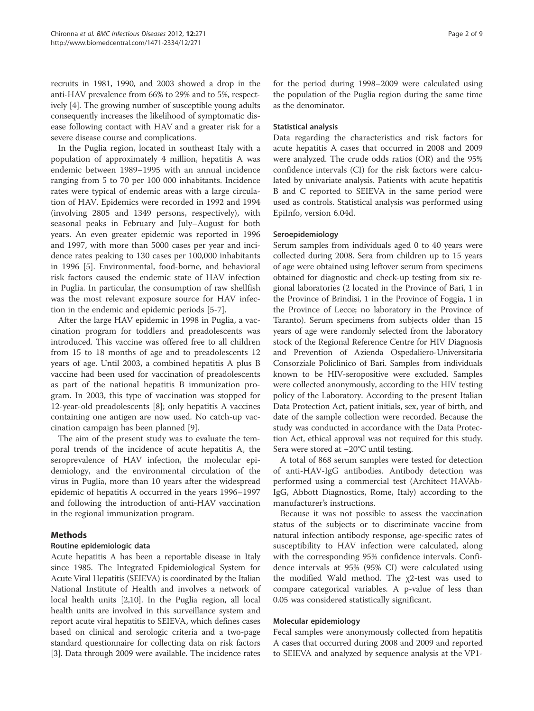recruits in 1981, 1990, and 2003 showed a drop in the anti-HAV prevalence from 66% to 29% and to 5%, respectively [4]. The growing number of susceptible young adults consequently increases the likelihood of symptomatic disease following contact with HAV and a greater risk for a severe disease course and complications.

In the Puglia region, located in southeast Italy with a population of approximately 4 million, hepatitis A was endemic between 1989–1995 with an annual incidence ranging from 5 to 70 per 100 000 inhabitants. Incidence rates were typical of endemic areas with a large circulation of HAV. Epidemics were recorded in 1992 and 1994 (involving 2805 and 1349 persons, respectively), with seasonal peaks in February and July–August for both years. An even greater epidemic was reported in 1996 and 1997, with more than 5000 cases per year and incidence rates peaking to 130 cases per 100,000 inhabitants in 1996 [5]. Environmental, food-borne, and behavioral risk factors caused the endemic state of HAV infection in Puglia. In particular, the consumption of raw shellfish was the most relevant exposure source for HAV infection in the endemic and epidemic periods [5-7].

After the large HAV epidemic in 1998 in Puglia, a vaccination program for toddlers and preadolescents was introduced. This vaccine was offered free to all children from 15 to 18 months of age and to preadolescents 12 years of age. Until 2003, a combined hepatitis A plus B vaccine had been used for vaccination of preadolescents as part of the national hepatitis B immunization program. In 2003, this type of vaccination was stopped for 12-year-old preadolescents [8]; only hepatitis A vaccines containing one antigen are now used. No catch-up vaccination campaign has been planned [9].

The aim of the present study was to evaluate the temporal trends of the incidence of acute hepatitis A, the seroprevalence of HAV infection, the molecular epidemiology, and the environmental circulation of the virus in Puglia, more than 10 years after the widespread epidemic of hepatitis A occurred in the years 1996–1997 and following the introduction of anti-HAV vaccination in the regional immunization program.

## Methods

## Routine epidemiologic data

Acute hepatitis A has been a reportable disease in Italy since 1985. The Integrated Epidemiological System for Acute Viral Hepatitis (SEIEVA) is coordinated by the Italian National Institute of Health and involves a network of local health units [2,10]. In the Puglia region, all local health units are involved in this surveillance system and report acute viral hepatitis to SEIEVA, which defines cases based on clinical and serologic criteria and a two-page standard questionnaire for collecting data on risk factors [3]. Data through 2009 were available. The incidence rates

for the period during 1998–2009 were calculated using the population of the Puglia region during the same time as the denominator.

## Statistical analysis

Data regarding the characteristics and risk factors for acute hepatitis A cases that occurred in 2008 and 2009 were analyzed. The crude odds ratios (OR) and the 95% confidence intervals (CI) for the risk factors were calculated by univariate analysis. Patients with acute hepatitis B and C reported to SEIEVA in the same period were used as controls. Statistical analysis was performed using EpiInfo, version 6.04d.

#### Seroepidemiology

Serum samples from individuals aged 0 to 40 years were collected during 2008. Sera from children up to 15 years of age were obtained using leftover serum from specimens obtained for diagnostic and check-up testing from six regional laboratories (2 located in the Province of Bari, 1 in the Province of Brindisi, 1 in the Province of Foggia, 1 in the Province of Lecce; no laboratory in the Province of Taranto). Serum specimens from subjects older than 15 years of age were randomly selected from the laboratory stock of the Regional Reference Centre for HIV Diagnosis and Prevention of Azienda Ospedaliero-Universitaria Consorziale Policlinico of Bari. Samples from individuals known to be HIV-seropositive were excluded. Samples were collected anonymously, according to the HIV testing policy of the Laboratory. According to the present Italian Data Protection Act, patient initials, sex, year of birth, and date of the sample collection were recorded. Because the study was conducted in accordance with the Data Protection Act, ethical approval was not required for this study. Sera were stored at −20°C until testing.

A total of 868 serum samples were tested for detection of anti-HAV-IgG antibodies. Antibody detection was performed using a commercial test (Architect HAVAb-IgG, Abbott Diagnostics, Rome, Italy) according to the manufacturer's instructions.

Because it was not possible to assess the vaccination status of the subjects or to discriminate vaccine from natural infection antibody response, age-specific rates of susceptibility to HAV infection were calculated, along with the corresponding 95% confidence intervals. Confidence intervals at 95% (95% CI) were calculated using the modified Wald method. The χ2-test was used to compare categorical variables. A p-value of less than 0.05 was considered statistically significant.

## Molecular epidemiology

Fecal samples were anonymously collected from hepatitis A cases that occurred during 2008 and 2009 and reported to SEIEVA and analyzed by sequence analysis at the VP1-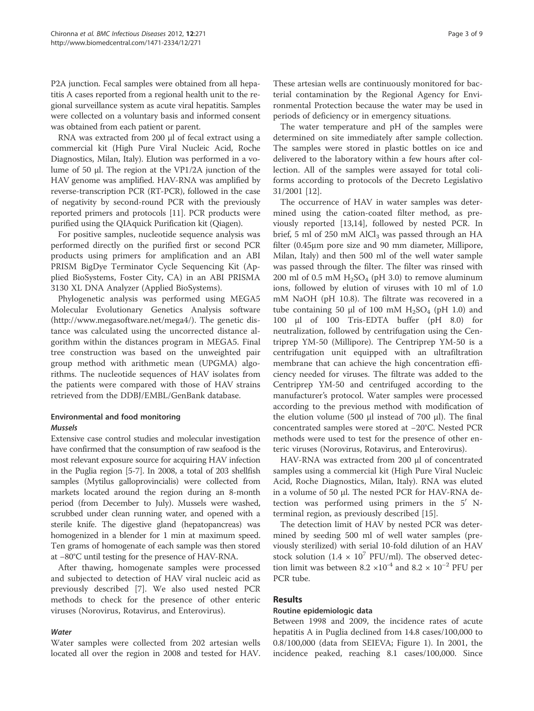P2A junction. Fecal samples were obtained from all hepatitis A cases reported from a regional health unit to the regional surveillance system as acute viral hepatitis. Samples were collected on a voluntary basis and informed consent was obtained from each patient or parent.

RNA was extracted from 200 μl of fecal extract using a commercial kit (High Pure Viral Nucleic Acid, Roche Diagnostics, Milan, Italy). Elution was performed in a volume of 50 μl. The region at the VP1/2A junction of the HAV genome was amplified. HAV-RNA was amplified by reverse-transcription PCR (RT-PCR), followed in the case of negativity by second-round PCR with the previously reported primers and protocols [11]. PCR products were purified using the QIAquick Purification kit (Qiagen).

For positive samples, nucleotide sequence analysis was performed directly on the purified first or second PCR products using primers for amplification and an ABI PRISM BigDye Terminator Cycle Sequencing Kit (Applied BioSystems, Foster City, CA) in an ABI PRISMA 3130 XL DNA Analyzer (Applied BioSystems).

Phylogenetic analysis was performed using MEGA5 Molecular Evolutionary Genetics Analysis software (http://www.megasoftware.net/mega4/). The genetic distance was calculated using the uncorrected distance algorithm within the distances program in MEGA5. Final tree construction was based on the unweighted pair group method with arithmetic mean (UPGMA) algorithms. The nucleotide sequences of HAV isolates from the patients were compared with those of HAV strains retrieved from the DDBJ/EMBL/GenBank database.

#### Environmental and food monitoring Mussels

Extensive case control studies and molecular investigation have confirmed that the consumption of raw seafood is the most relevant exposure source for acquiring HAV infection in the Puglia region [5-7]. In 2008, a total of 203 shellfish samples (Mytilus galloprovincialis) were collected from markets located around the region during an 8-month period (from December to July). Mussels were washed, scrubbed under clean running water, and opened with a sterile knife. The digestive gland (hepatopancreas) was homogenized in a blender for 1 min at maximum speed. Ten grams of homogenate of each sample was then stored at −80°C until testing for the presence of HAV-RNA.

After thawing, homogenate samples were processed and subjected to detection of HAV viral nucleic acid as previously described [7]. We also used nested PCR methods to check for the presence of other enteric viruses (Norovirus, Rotavirus, and Enterovirus).

#### **Water**

Water samples were collected from 202 artesian wells located all over the region in 2008 and tested for HAV.

These artesian wells are continuously monitored for bacterial contamination by the Regional Agency for Environmental Protection because the water may be used in periods of deficiency or in emergency situations.

The water temperature and pH of the samples were determined on site immediately after sample collection. The samples were stored in plastic bottles on ice and delivered to the laboratory within a few hours after collection. All of the samples were assayed for total coliforms according to protocols of the Decreto Legislativo 31/2001 [12].

The occurrence of HAV in water samples was determined using the cation-coated filter method, as previously reported [13,14], followed by nested PCR. In brief, 5 ml of 250 mM  $\text{AlCl}_3$  was passed through an HA filter (0.45μm pore size and 90 mm diameter, Millipore, Milan, Italy) and then 500 ml of the well water sample was passed through the filter. The filter was rinsed with 200 ml of 0.5 mM  $H<sub>2</sub>SO<sub>4</sub>$  (pH 3.0) to remove aluminum ions, followed by elution of viruses with 10 ml of 1.0 mM NaOH (pH 10.8). The filtrate was recovered in a tube containing 50 μl of 100 mM  $H_2SO_4$  (pH 1.0) and 100 μl of 100 Tris-EDTA buffer (pH 8.0) for neutralization, followed by centrifugation using the Centriprep YM-50 (Millipore). The Centriprep YM-50 is a centrifugation unit equipped with an ultrafiltration membrane that can achieve the high concentration efficiency needed for viruses. The filtrate was added to the Centriprep YM-50 and centrifuged according to the manufacturer's protocol. Water samples were processed according to the previous method with modification of the elution volume (500 μl instead of 700 μl). The final concentrated samples were stored at −20°C. Nested PCR methods were used to test for the presence of other enteric viruses (Norovirus, Rotavirus, and Enterovirus).

HAV-RNA was extracted from 200 μl of concentrated samples using a commercial kit (High Pure Viral Nucleic Acid, Roche Diagnostics, Milan, Italy). RNA was eluted in a volume of 50 μl. The nested PCR for HAV-RNA detection was performed using primers in the  $5'$  Nterminal region, as previously described [15].

The detection limit of HAV by nested PCR was determined by seeding 500 ml of well water samples (previously sterilized) with serial 10-fold dilution of an HAV stock solution (1.4  $\times$  10<sup>7</sup> PFU/ml). The observed detection limit was between 8.2  $\times 10^{-4}$  and 8.2  $\times 10^{-2}$  PFU per PCR tube.

## Results

## Routine epidemiologic data

Between 1998 and 2009, the incidence rates of acute hepatitis A in Puglia declined from 14.8 cases/100,000 to 0.8/100,000 (data from SEIEVA; Figure 1). In 2001, the incidence peaked, reaching 8.1 cases/100,000. Since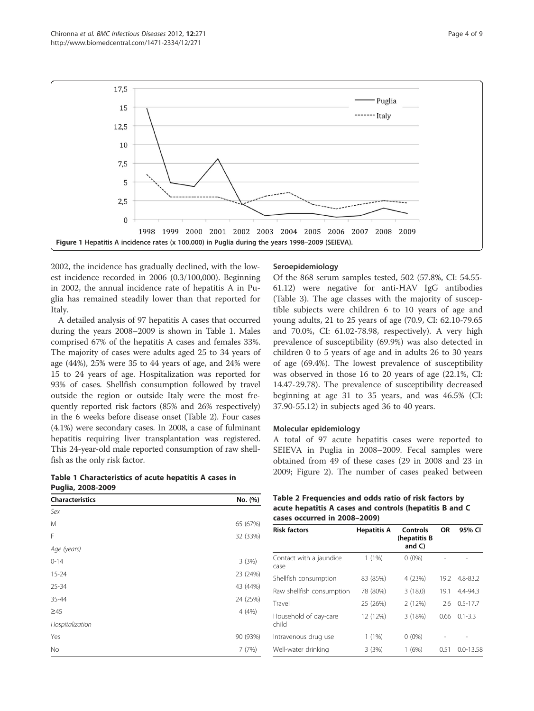

2002, the incidence has gradually declined, with the lowest incidence recorded in 2006 (0.3/100,000). Beginning in 2002, the annual incidence rate of hepatitis A in Puglia has remained steadily lower than that reported for Italy.

A detailed analysis of 97 hepatitis A cases that occurred during the years 2008–2009 is shown in Table 1. Males comprised 67% of the hepatitis A cases and females 33%. The majority of cases were adults aged 25 to 34 years of age (44%), 25% were 35 to 44 years of age, and 24% were 15 to 24 years of age. Hospitalization was reported for 93% of cases. Shellfish consumption followed by travel outside the region or outside Italy were the most frequently reported risk factors (85% and 26% respectively) in the 6 weeks before disease onset (Table 2). Four cases (4.1%) were secondary cases. In 2008, a case of fulminant hepatitis requiring liver transplantation was registered. This 24-year-old male reported consumption of raw shellfish as the only risk factor.

| Table 1 Characteristics of acute hepatitis A cases in |  |
|-------------------------------------------------------|--|
| Puglia, 2008-2009                                     |  |

| <b>Characteristics</b> | No. (%)  |
|------------------------|----------|
| Sex                    |          |
| M                      | 65 (67%) |
| F                      | 32 (33%) |
| Age (years)            |          |
| $0 - 14$               | 3(3%)    |
| $15 - 24$              | 23 (24%) |
| 25-34                  | 43 (44%) |
| 35-44                  | 24 (25%) |
| $\geq 45$              | 4(4%)    |
| Hospitalization        |          |
| Yes                    | 90 (93%) |
| No                     | 7 (7%)   |

#### Seroepidemiology

Of the 868 serum samples tested, 502 (57.8%, CI: 54.55- 61.12) were negative for anti-HAV IgG antibodies (Table 3). The age classes with the majority of susceptible subjects were children 6 to 10 years of age and young adults, 21 to 25 years of age (70.9, CI: 62.10-79.65 and 70.0%, CI: 61.02-78.98, respectively). A very high prevalence of susceptibility (69.9%) was also detected in children 0 to 5 years of age and in adults 26 to 30 years of age (69.4%). The lowest prevalence of susceptibility was observed in those 16 to 20 years of age (22.1%, CI: 14.47-29.78). The prevalence of susceptibility decreased beginning at age 31 to 35 years, and was 46.5% (CI: 37.90-55.12) in subjects aged 36 to 40 years.

## Molecular epidemiology

A total of 97 acute hepatitis cases were reported to SEIEVA in Puglia in 2008–2009. Fecal samples were obtained from 49 of these cases (29 in 2008 and 23 in 2009; Figure 2). The number of cases peaked between

| Table 2 Frequencies and odds ratio of risk factors by   |
|---------------------------------------------------------|
| acute hepatitis A cases and controls (hepatitis B and C |
| cases occurred in 2008-2009)                            |

| <b>Risk factors</b>             | <b>Hepatitis A</b> | <b>Controls</b><br>(hepatitis B<br>and $C$ ) | ΟR   | 95% CI        |
|---------------------------------|--------------------|----------------------------------------------|------|---------------|
| Contact with a jaundice<br>case | $1(1\%)$           | $0(0\%)$                                     |      |               |
| Shellfish consumption           | 83 (85%)           | 4 (23%)                                      | 19.2 | 4.8-83.2      |
| Raw shellfish consumption       | 78 (80%)           | 3(18.0)                                      | 19.1 | 4.4-94.3      |
| Travel                          | 25 (26%)           | 2(12%)                                       | 2.6  | $0.5 - 17.7$  |
| Household of day-care<br>child  | 12 (12%)           | 3(18%)                                       | 0.66 | $0.1 - 3.3$   |
| Intravenous drug use            | $1(1\%)$           | $0(0\%)$                                     |      |               |
| Well-water drinking             | 3(3%)              | 1(6%)                                        | 0.51 | $0.0 - 13.58$ |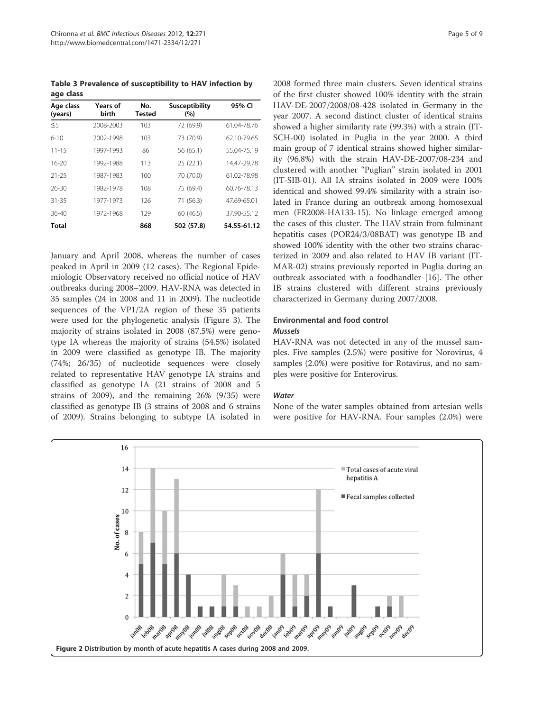Table 3 Prevalence of susceptibility to HAV infection by age class

| Age class<br>(years) | Years of<br>birth | No.<br><b>Tested</b> | Susceptibility<br>(%) | 95% CI      |
|----------------------|-------------------|----------------------|-----------------------|-------------|
| $\leq 5$             | 2008-2003         | 103                  | 72 (69.9)             | 61.04-78.76 |
| $6 - 10$             | 2002-1998         | 103                  | 73 (70.9)             | 62.10-79.65 |
| $11 - 15$            | 1997-1993         | 86                   | 56 (65.1)             | 55.04-75.19 |
| $16-20$              | 1992-1988         | 113                  | 25(22.1)              | 14.47-29.78 |
| $21 - 25$            | 1987-1983         | 100                  | 70 (70.0)             | 61.02-78.98 |
| 26-30                | 1982-1978         | 108                  | 75 (69.4)             | 60.76-78.13 |
| $31 - 35$            | 1977-1973         | 126                  | 71 (56.3)             | 47.69-65.01 |
| $36-40$              | 1972-1968         | 129                  | 60 (46.5)             | 37.90-55.12 |
| Total                |                   | 868                  | 502 (57.8)            | 54.55-61.12 |

January and April 2008, whereas the number of cases peaked in April in 2009 (12 cases). The Regional Epidemiologic Observatory received no official notice of HAV outbreaks during 2008–2009. HAV-RNA was detected in 35 samples (24 in 2008 and 11 in 2009). The nucleotide sequences of the VP1/2A region of these 35 patients were used for the phylogenetic analysis (Figure 3). The majority of strains isolated in 2008 (87.5%) were genotype IA whereas the majority of strains (54.5%) isolated in 2009 were classified as genotype IB. The majority (74%; 26/35) of nucleotide sequences were closely related to representative HAV genotype IA strains and classified as genotype IA (21 strains of 2008 and 5 strains of 2009), and the remaining 26% (9/35) were classified as genotype IB (3 strains of 2008 and 6 strains of 2009). Strains belonging to subtype IA isolated in 2008 formed three main clusters. Seven identical strains of the first cluster showed 100% identity with the strain HAV-DE-2007/2008/08-428 isolated in Germany in the year 2007. A second distinct cluster of identical strains showed a higher similarity rate (99.3%) with a strain (IT-SCH-00) isolated in Puglia in the year 2000. A third main group of 7 identical strains showed higher similarity (96.8%) with the strain HAV-DE-2007/08-234 and clustered with another "Puglian" strain isolated in 2001 (IT-SIB-01). All IA strains isolated in 2009 were 100% identical and showed 99.4% similarity with a strain isolated in France during an outbreak among homosexual men (FR2008-HA133-15). No linkage emerged among the cases of this cluster. The HAV strain from fulminant hepatitis cases (POR24/3/08BAT) was genotype IB and showed 100% identity with the other two strains characterized in 2009 and also related to HAV IB variant (IT-MAR-02) strains previously reported in Puglia during an outbreak associated with a foodhandler [16]. The other IB strains clustered with different strains previously characterized in Germany during 2007/2008.

#### Environmental and food control Mussels

HAV-RNA was not detected in any of the mussel samples. Five samples (2.5%) were positive for Norovirus, 4 samples (2.0%) were positive for Rotavirus, and no samples were positive for Enterovirus.

## **Water**

None of the water samples obtained from artesian wells were positive for HAV-RNA. Four samples (2.0%) were

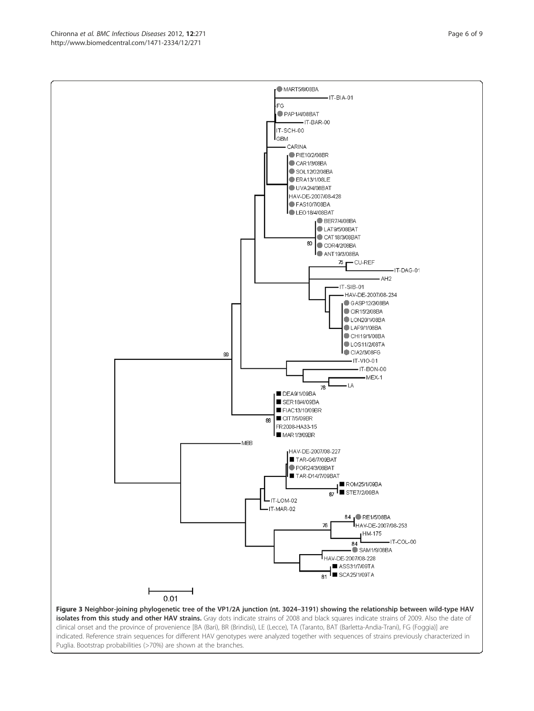Chironna et al. BMC Infectious Diseases 2012, 12:271 **Page 6 of 9** and the United States 1, 1992 **Page 6 of 9** and the United States 1, 1993 http://www.biomedcentral.com/1471-2334/12/271



isolates from this study and other HAV strains. Gray dots indicate strains of 2008 and black squares indicate strains of 2009. Also the date of clinical onset and the province of provenience [BA (Bari), BR (Brindisi), LE (Lecce), TA (Taranto, BAT (Barletta-Andia-Trani), FG (Foggia)] are indicated. Reference strain sequences for different HAV genotypes were analyzed together with sequences of strains previously characterized in Puglia. Bootstrap probabilities (>70%) are shown at the branches.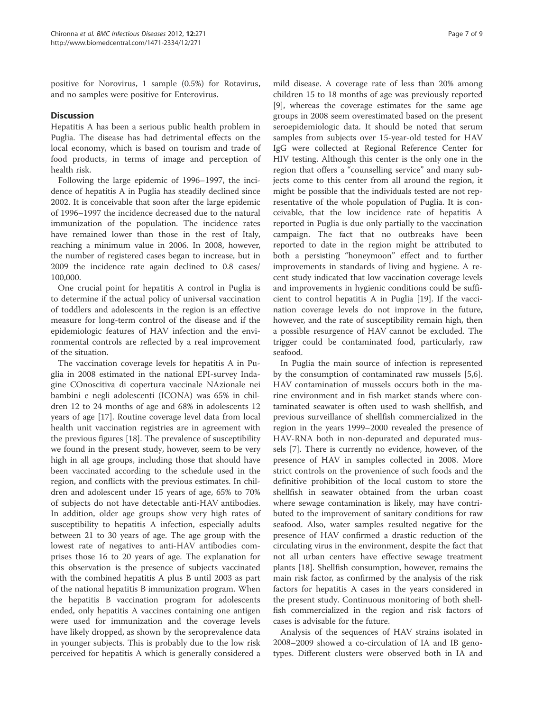positive for Norovirus, 1 sample (0.5%) for Rotavirus, and no samples were positive for Enterovirus.

#### **Discussion**

Hepatitis A has been a serious public health problem in Puglia. The disease has had detrimental effects on the local economy, which is based on tourism and trade of food products, in terms of image and perception of health risk.

Following the large epidemic of 1996–1997, the incidence of hepatitis A in Puglia has steadily declined since 2002. It is conceivable that soon after the large epidemic of 1996–1997 the incidence decreased due to the natural immunization of the population. The incidence rates have remained lower than those in the rest of Italy, reaching a minimum value in 2006. In 2008, however, the number of registered cases began to increase, but in 2009 the incidence rate again declined to 0.8 cases/ 100,000.

One crucial point for hepatitis A control in Puglia is to determine if the actual policy of universal vaccination of toddlers and adolescents in the region is an effective measure for long-term control of the disease and if the epidemiologic features of HAV infection and the environmental controls are reflected by a real improvement of the situation.

The vaccination coverage levels for hepatitis A in Puglia in 2008 estimated in the national EPI-survey Indagine COnoscitiva di copertura vaccinale NAzionale nei bambini e negli adolescenti (ICONA) was 65% in children 12 to 24 months of age and 68% in adolescents 12 years of age [17]. Routine coverage level data from local health unit vaccination registries are in agreement with the previous figures [18]. The prevalence of susceptibility we found in the present study, however, seem to be very high in all age groups, including those that should have been vaccinated according to the schedule used in the region, and conflicts with the previous estimates. In children and adolescent under 15 years of age, 65% to 70% of subjects do not have detectable anti-HAV antibodies. In addition, older age groups show very high rates of susceptibility to hepatitis A infection, especially adults between 21 to 30 years of age. The age group with the lowest rate of negatives to anti-HAV antibodies comprises those 16 to 20 years of age. The explanation for this observation is the presence of subjects vaccinated with the combined hepatitis A plus B until 2003 as part of the national hepatitis B immunization program. When the hepatitis B vaccination program for adolescents ended, only hepatitis A vaccines containing one antigen were used for immunization and the coverage levels have likely dropped, as shown by the seroprevalence data in younger subjects. This is probably due to the low risk perceived for hepatitis A which is generally considered a

mild disease. A coverage rate of less than 20% among children 15 to 18 months of age was previously reported [9], whereas the coverage estimates for the same age groups in 2008 seem overestimated based on the present seroepidemiologic data. It should be noted that serum samples from subjects over 15-year-old tested for HAV IgG were collected at Regional Reference Center for HIV testing. Although this center is the only one in the region that offers a "counselling service" and many subjects come to this center from all around the region, it might be possible that the individuals tested are not representative of the whole population of Puglia. It is conceivable, that the low incidence rate of hepatitis A reported in Puglia is due only partially to the vaccination campaign. The fact that no outbreaks have been reported to date in the region might be attributed to both a persisting "honeymoon" effect and to further improvements in standards of living and hygiene. A recent study indicated that low vaccination coverage levels and improvements in hygienic conditions could be sufficient to control hepatitis A in Puglia [19]. If the vaccination coverage levels do not improve in the future, however, and the rate of susceptibility remain high, then a possible resurgence of HAV cannot be excluded. The trigger could be contaminated food, particularly, raw seafood.

In Puglia the main source of infection is represented by the consumption of contaminated raw mussels [5,6]. HAV contamination of mussels occurs both in the marine environment and in fish market stands where contaminated seawater is often used to wash shellfish, and previous surveillance of shellfish commercialized in the region in the years 1999–2000 revealed the presence of HAV-RNA both in non-depurated and depurated mussels [7]. There is currently no evidence, however, of the presence of HAV in samples collected in 2008. More strict controls on the provenience of such foods and the definitive prohibition of the local custom to store the shellfish in seawater obtained from the urban coast where sewage contamination is likely, may have contributed to the improvement of sanitary conditions for raw seafood. Also, water samples resulted negative for the presence of HAV confirmed a drastic reduction of the circulating virus in the environment, despite the fact that not all urban centers have effective sewage treatment plants [18]. Shellfish consumption, however, remains the main risk factor, as confirmed by the analysis of the risk factors for hepatitis A cases in the years considered in the present study. Continuous monitoring of both shellfish commercialized in the region and risk factors of cases is advisable for the future.

Analysis of the sequences of HAV strains isolated in 2008–2009 showed a co-circulation of IA and IB genotypes. Different clusters were observed both in IA and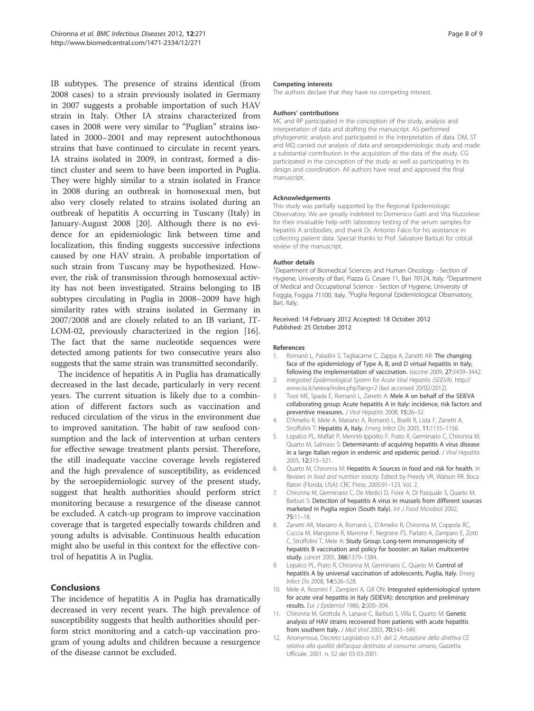IB subtypes. The presence of strains identical (from 2008 cases) to a strain previously isolated in Germany in 2007 suggests a probable importation of such HAV strain in Italy. Other IA strains characterized from cases in 2008 were very similar to "Puglian" strains isolated in 2000–2001 and may represent autochthonous strains that have continued to circulate in recent years. IA strains isolated in 2009, in contrast, formed a distinct cluster and seem to have been imported in Puglia. They were highly similar to a strain isolated in France in 2008 during an outbreak in homosexual men, but also very closely related to strains isolated during an outbreak of hepatitis A occurring in Tuscany (Italy) in January-August 2008 [20]. Although there is no evidence for an epidemiologic link between time and localization, this finding suggests successive infections caused by one HAV strain. A probable importation of such strain from Tuscany may be hypothesized. However, the risk of transmission through homosexual activity has not been investigated. Strains belonging to IB subtypes circulating in Puglia in 2008–2009 have high similarity rates with strains isolated in Germany in 2007/2008 and are closely related to an IB variant, IT-LOM-02, previously characterized in the region [16]. The fact that the same nucleotide sequences were detected among patients for two consecutive years also suggests that the same strain was transmitted secondarily.

The incidence of hepatitis A in Puglia has dramatically decreased in the last decade, particularly in very recent years. The current situation is likely due to a combination of different factors such as vaccination and reduced circulation of the virus in the environment due to improved sanitation. The habit of raw seafood consumption and the lack of intervention at urban centers for effective sewage treatment plants persist. Therefore, the still inadequate vaccine coverage levels registered and the high prevalence of susceptibility, as evidenced by the seroepidemiologic survey of the present study, suggest that health authorities should perform strict monitoring because a resurgence of the disease cannot be excluded. A catch-up program to improve vaccination coverage that is targeted especially towards children and young adults is advisable. Continuous health education might also be useful in this context for the effective control of hepatitis A in Puglia.

## Conclusions

The incidence of hepatitis A in Puglia has dramatically decreased in very recent years. The high prevalence of susceptibility suggests that health authorities should perform strict monitoring and a catch-up vaccination program of young adults and children because a resurgence of the disease cannot be excluded.

#### Competing interests

The authors declare that they have no competing interest.

#### Authors' contributions

MC and RP participated in the conception of the study, analysis and interpretation of data and drafting the manuscript. AS performed phylogenetic analysis and participated in the interpretation of data. DM, ST and MQ carried out analysis of data and seroepidemiologic study and made a substantial contribution in the acquisition of the data of the study. CG participated in the conception of the study as well as participating in its design and coordination. All authors have read and approved the final manuscript.

#### Acknowledgements

This study was partially supported by the Regional Epidemiologic Observatory. We are greatly indebted to Domenico Gatti and Vita Nuzzolese for their invaluable help with laboratory testing of the serum samples for hepatitis A antibodies, and thank Dr. Antonio Falco for his assistance in collecting patient data. Special thanks to Prof. Salvatore Barbuti for critical review of the manuscript.

#### Author details

<sup>1</sup>Department of Biomedical Sciences and Human Oncology - Section of Hygiene, University of Bari, Piazza G. Cesare 11, Bari 70124, Italy. <sup>2</sup>Department of Medical and Occupational Science - Section of Hygiene, University of Foggia, Foggia 71100, Italy. <sup>3</sup>Puglia Regional Epidemiological Observatory, Bari, Italy.

Received: 14 February 2012 Accepted: 18 October 2012 Published: 25 October 2012

#### References

- 1. Romanò L, Paladini S, Tagliacarne C, Zappa A, Zanetti AR: The changing face of the epidemiology of Type A, B, and D virtual hepatitis in Italy, following the implementation of vaccination. Vaccine 2009, 27:3439–3442.
- 2. Integrated Epidemiological System for Acute Viral Hepatitis (SEIEVA). http:// www.iss.it/seieva/index.php?lang=2 (last accessed 20/02/2012).
- 3. Tosti ME, Spada E, Romanò L, Zanetti A: Mele A on behalf of the SEIEVA collaborating group: Acute hepatitis A in Italy: incidence, risk factors and preventive measures. J Viral Hepatitis 2008, 15:26-32.
- 4. D'Amelio R, Mele A, Mariano A, Romanò L, Biselli R, Lista F, Zanetti A, Stroffolini T: Hepatitis A, Italy. Emerg Infect Dis 2005, 11:1155-1156.
- 5. Lopalco PL, Malfait P, Menniti-Ippolito F, Prato R, Germinario C, Chironna M, Quarto M, Salmaso S: Determinants of acquiring hepatitis A virus disease in a large Italian region in endemic and epidemic period. J Viral Hepatitis 2005, 12:315–321.
- 6. Quarto M, Chironna M: Hepatitis A: Sources in food and risk for health. In Reviews in food and nutrition toxicity. Edited by Preedy VR, Watson RR. Boca Raton (Florida, USA): CRC Press; 2005:91–123. Vol. 2.
- 7. Chironna M, Germinario C, De Medici D, Fiore A, Di Pasquale S, Quarto M, Barbuti S: Detection of hepatitis A virus in mussels from different sources marketed in Puglia region (South Italy). Int J Food Microbiol 2002, 75:11–18.
- 8. Zanetti AR, Mariano A, Romanò L, D'Amelio R, Chironna M, Coppola RC, Cuccia M, Mangione R, Marrone F, Negrone FS, Parlato A, Zamparo E, Zotti C, Stroffolini T, Mele A: Study Group: Long-term immunogenicity of hepatitis B vaccination and policy for booster: an Italian multicentre study. Lancet 2005, 366:1379–1384.
- 9. Lopalco PL, Prato R, Chironna M, Germinario C, Quarto M: Control of hepatitis A by universal vaccination of adolescents, Puglia, Italy. Emerg Infect Dis 2008, 14:526–528.
- 10. Mele A, Rosmini F, Zampieri A, Gill ON: Integrated epidemiological system for acute viral hepatitis in Italy (SEIEVA): description and preliminary results. Eur J Epidemiol 1986, 2:300–304.
- 11. Chironna M, Grottola A, Lanave C, Barbuti S, Villa E, Quarto M: Genetic analysis of HAV strains recovered from patients with acute hepatitis from southern Italy. J Med Virol 2003, 70:343-349.
- 12. Anonymous, Decreto Legislativo n.31 del 2: Attuazione della direttiva CE relativa alla qualità dell'acqua destinata al consumo umano, Gazzetta Ufficiale. 2001. n. 52 del 03-03-2001.